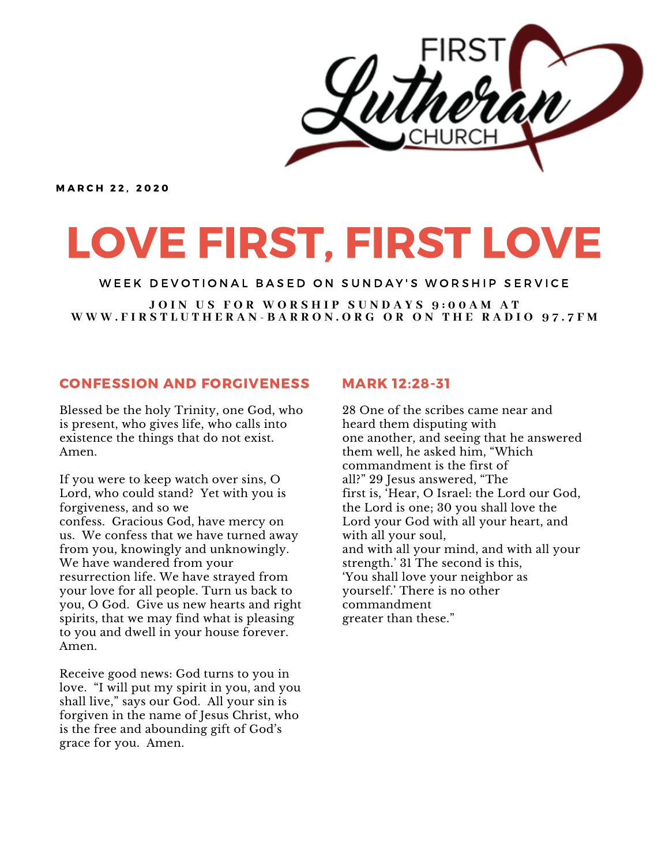

**MARCH 22. 2020** 

# LOVE FIRST, FIRST LOVE

WEEK DEVOTIONAL BASED ON SUNDAY'S WORSHIP SERVICE

JOIN US FOR WORSHIP SUNDAYS 9:00AM AT WWW.FIRSTLUTHERAN-BARRON.ORG OR ON THE RADIO 97.7FM

### CONFESSION AND FORGIVENESS

Blessed be the holy Trinity, one God, who is present, who gives life, who calls into existence the things that do not exist. Amen.

If you were to keep watch over sins, O Lord, who could stand? Yet with you is forgiveness, and so we confess. Gracious God, have mercy on us. We confess that we have turned away from you, knowingly and unknowingly. We have wandered from your resurrection life. We have strayed from your love for all people. Turn us back to you, O God. Give us new hearts and right spirits, that we may find what is pleasing to you and dwell in your house forever. Amen.

Receive good news: God turns to you in love. "I will put my spirit in you, and you shall live," says our God. All your sin is forgiven in the name of Jesus Christ, who is the free and abounding gift of God's grace for you. Amen.

#### MARK 12:28-31

28 One of the scribes came near and heard them disputing with one another, and seeing that he answered them well, he asked him, "Which commandment is the first of all?" 29 Jesus answered, "The first is, 'Hear, O Israel: the Lord our God, the Lord is one; 30 you shall love the Lord your God with all your heart, and with all your soul, and with all your mind, and with all your strength.' 31 The second is this, 'You shall love your neighbor as yourself.' There is no other commandment greater than these."